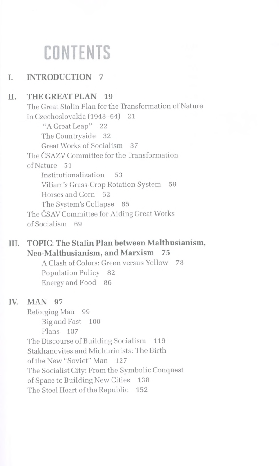# **CONTENTS**

### **I. INTRODUCTION 7**

## **II. THE GREAT PLAN 19**

The Great Stalin Plan for the Transformation of Nature in Czechoslovakia (1948-64) 21 "A Great Leap" 22 The Countryside 32 Great Works of Socialism 37 The ČSAZV Committee for the Transformation of Nature 51 Institutionalization 53 Viliam's Grass-Crop Rotation System 59 Horses and Corn 62 The System's Collapse 65 The ČSAV Committee for Aiding Great Works of Socialism 69

#### **HI. TOPIC: The Stalin Plan between Malthusianism, Neo-Malthusianism, and Marxism 75**

A Clash of Colors: Green versus Yellow 78 Population Policy 82 Energy and Food 86

#### **IV. MAN 97**

Reforging Man 99 Big and Fast 100 Plans 107 The Discourse of Building Socialism 119 Stakhanovites and Michurinists: The Birth of the New "Soviet" Man 127 The Socialist City: From the Symbolic Conquest of Space to Building New Cities 138 The Steel Heart of the Republic 152